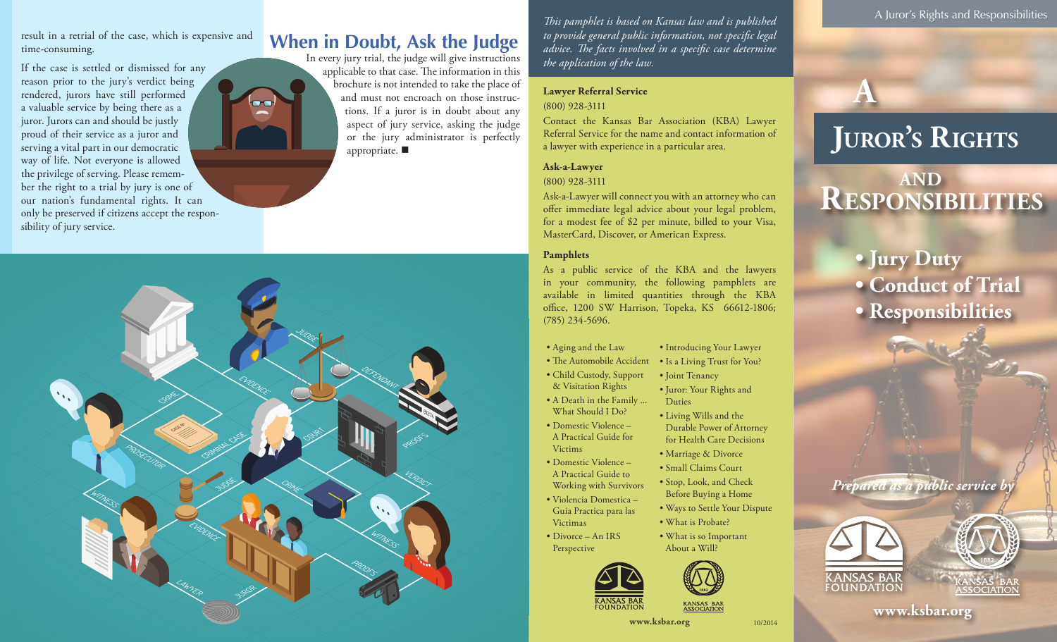result in a retrial of the case, which is expensive and time-consuming.

If the case is settled or dismissed for any reason prior to the jury's verdict being rendered, jurors have still performed a valuable service by being there as a juror. Jurors can and should be justly proud of their service as a juror and serving a vital part in our democratic way of life. Not everyone is allowed the privilege of serving. Please remember the right to a trial by jury is one of our nation's fundamental rights. It can only be preserved if citizens accept the responsibility of jury service.



## **When in Doubt, Ask the Judge**

In every jury trial, the judge will give instructions applicable to that case. The information in this brochure is not intended to take the place of and must not encroach on those instructions. If a juror is in doubt about any aspect of jury service, asking the judge or the jury administrator is perfectly appropriate.  $\blacksquare$ 

*This pamphlet is based on Kansas law and is published to provide general public information, not specific legal advice. The facts involved in a specific case determine the application of the law.*

#### **Lawyer Referral Service** (800) 928-3111

Contact the Kansas Bar Association (KBA) Lawyer Referral Service for the name and contact information of a lawyer with experience in a particular area.

#### **Ask-a-Lawyer**

#### (800) 928-3111

Ask-a-Lawyer will connect you with an attorney who can offer immediate legal advice about your legal problem, for a modest fee of \$2 per minute, billed to your Visa, MasterCard, Discover, or American Express.

#### **Pamphlets**

As a public service of the KBA and the lawyers in your community, the following pamphlets are available in limited quantities through the KBA office, 1200 SW Harrison, Topeka, KS 66612-1806; (785) 234-5696.

- Aging and the Law
- The Automobile Accident • Is a Living Trust for You?

Duties

• Introducing Your Lawyer

• Juror: Your Rights and

• Living Wills and the Durable Power of Attorney for Health Care Decisions • Marriage & Divorce • Small Claims Court • Stop, Look, and Check Before Buying a Home • Ways to Settle Your Dispute

- Child Custody, Support • Joint Tenancy
- & Visitation Rights • A Death in the Family ...
- What Should I Do?
- Domestic Violence A Practical Guide for Victims
- Domestic Violence A Practical Guide to
- Working with Survivors • Violencia Domestica –
- Guia Practica para las Victimas
- Divorce An IRS Perspective







10/2014

A Juror's Rights and Responsibilities



# **Juror's Rights**

# **Responsibilities and**

**• Jury Duty**

- **• Conduct of Trial**
- **• Responsibilities**

*Prepared as a public service* 





**www.ksbar.org**<br>www.ksbar.org<br>www.ksbar.org

• What is Probate? • What is so Important About a Will?